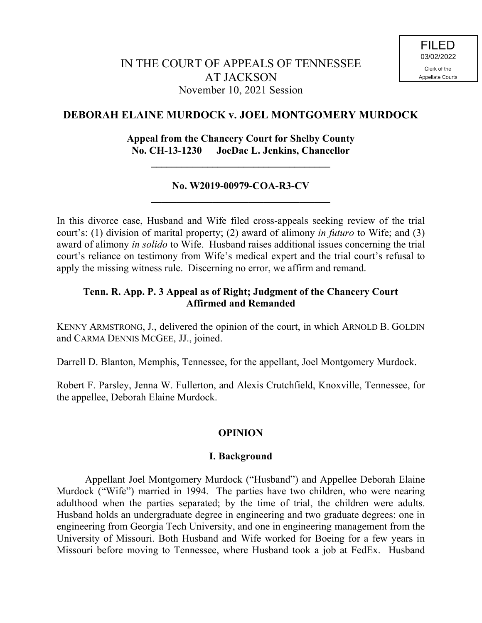# **DEBORAH ELAINE MURDOCK v. JOEL MONTGOMERY MURDOCK**

## **Appeal from the Chancery Court for Shelby County No. CH-13-1230 JoeDae L. Jenkins, Chancellor**

## **No. W2019-00979-COA-R3-CV \_\_\_\_\_\_\_\_\_\_\_\_\_\_\_\_\_\_\_\_\_\_\_\_\_\_\_\_\_\_\_\_\_\_\_**

**\_\_\_\_\_\_\_\_\_\_\_\_\_\_\_\_\_\_\_\_\_\_\_\_\_\_\_\_\_\_\_\_\_\_\_**

In this divorce case, Husband and Wife filed cross-appeals seeking review of the trial court's: (1) division of marital property; (2) award of alimony *in futuro* to Wife; and (3) award of alimony *in solido* to Wife. Husband raises additional issues concerning the trial court's reliance on testimony from Wife's medical expert and the trial court's refusal to apply the missing witness rule. Discerning no error, we affirm and remand.

## **Tenn. R. App. P. 3 Appeal as of Right; Judgment of the Chancery Court Affirmed and Remanded**

KENNY ARMSTRONG, J., delivered the opinion of the court, in which ARNOLD B. GOLDIN and CARMA DENNIS MCGEE, JJ., joined.

Darrell D. Blanton, Memphis, Tennessee, for the appellant, Joel Montgomery Murdock.

Robert F. Parsley, Jenna W. Fullerton, and Alexis Crutchfield, Knoxville, Tennessee, for the appellee, Deborah Elaine Murdock.

# **OPINION**

### **I. Background**

Appellant Joel Montgomery Murdock ("Husband") and Appellee Deborah Elaine Murdock ("Wife") married in 1994. The parties have two children, who were nearing adulthood when the parties separated; by the time of trial, the children were adults. Husband holds an undergraduate degree in engineering and two graduate degrees: one in engineering from Georgia Tech University, and one in engineering management from the University of Missouri. Both Husband and Wife worked for Boeing for a few years in Missouri before moving to Tennessee, where Husband took a job at FedEx. Husband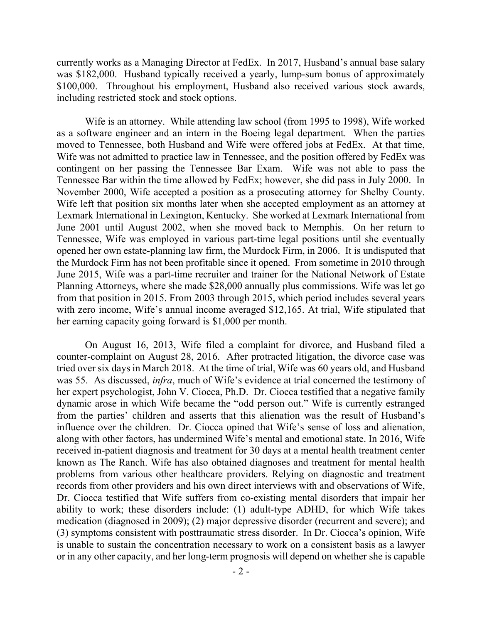currently works as a Managing Director at FedEx. In 2017, Husband's annual base salary was \$182,000. Husband typically received a yearly, lump-sum bonus of approximately \$100,000. Throughout his employment, Husband also received various stock awards, including restricted stock and stock options.

Wife is an attorney. While attending law school (from 1995 to 1998), Wife worked as a software engineer and an intern in the Boeing legal department. When the parties moved to Tennessee, both Husband and Wife were offered jobs at FedEx. At that time, Wife was not admitted to practice law in Tennessee, and the position offered by FedEx was contingent on her passing the Tennessee Bar Exam. Wife was not able to pass the Tennessee Bar within the time allowed by FedEx; however, she did pass in July 2000. In November 2000, Wife accepted a position as a prosecuting attorney for Shelby County. Wife left that position six months later when she accepted employment as an attorney at Lexmark International in Lexington, Kentucky. She worked at Lexmark International from June 2001 until August 2002, when she moved back to Memphis. On her return to Tennessee, Wife was employed in various part-time legal positions until she eventually opened her own estate-planning law firm, the Murdock Firm, in 2006. It is undisputed that the Murdock Firm has not been profitable since it opened. From sometime in 2010 through June 2015, Wife was a part-time recruiter and trainer for the National Network of Estate Planning Attorneys, where she made \$28,000 annually plus commissions. Wife was let go from that position in 2015. From 2003 through 2015, which period includes several years with zero income, Wife's annual income averaged \$12,165. At trial, Wife stipulated that her earning capacity going forward is \$1,000 per month.

On August 16, 2013, Wife filed a complaint for divorce, and Husband filed a counter-complaint on August 28, 2016. After protracted litigation, the divorce case was tried over six days in March 2018. At the time of trial, Wife was 60 years old, and Husband was 55. As discussed, *infra*, much of Wife's evidence at trial concerned the testimony of her expert psychologist, John V. Ciocca, Ph.D. Dr. Ciocca testified that a negative family dynamic arose in which Wife became the "odd person out." Wife is currently estranged from the parties' children and asserts that this alienation was the result of Husband's influence over the children. Dr. Ciocca opined that Wife's sense of loss and alienation, along with other factors, has undermined Wife's mental and emotional state. In 2016, Wife received in-patient diagnosis and treatment for 30 days at a mental health treatment center known as The Ranch. Wife has also obtained diagnoses and treatment for mental health problems from various other healthcare providers. Relying on diagnostic and treatment records from other providers and his own direct interviews with and observations of Wife, Dr. Ciocca testified that Wife suffers from co-existing mental disorders that impair her ability to work; these disorders include: (1) adult-type ADHD, for which Wife takes medication (diagnosed in 2009); (2) major depressive disorder (recurrent and severe); and (3) symptoms consistent with posttraumatic stress disorder. In Dr. Ciocca's opinion, Wife is unable to sustain the concentration necessary to work on a consistent basis as a lawyer or in any other capacity, and her long-term prognosis will depend on whether she is capable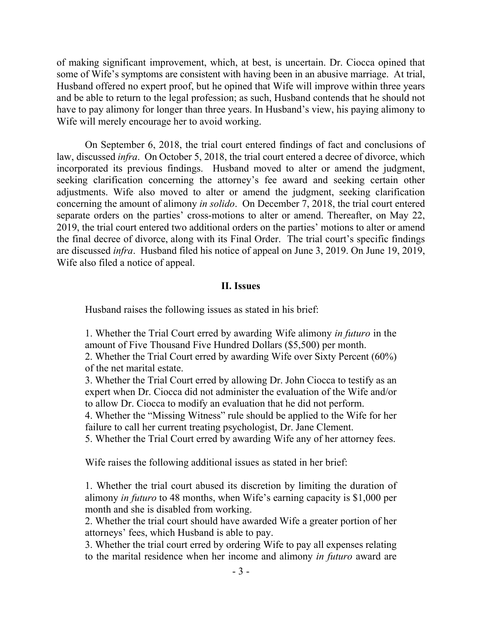of making significant improvement, which, at best, is uncertain. Dr. Ciocca opined that some of Wife's symptoms are consistent with having been in an abusive marriage. At trial, Husband offered no expert proof, but he opined that Wife will improve within three years and be able to return to the legal profession; as such, Husband contends that he should not have to pay alimony for longer than three years. In Husband's view, his paying alimony to Wife will merely encourage her to avoid working.

On September 6, 2018, the trial court entered findings of fact and conclusions of law, discussed *infra*. On October 5, 2018, the trial court entered a decree of divorce, which incorporated its previous findings. Husband moved to alter or amend the judgment, seeking clarification concerning the attorney's fee award and seeking certain other adjustments. Wife also moved to alter or amend the judgment, seeking clarification concerning the amount of alimony *in solido*. On December 7, 2018, the trial court entered separate orders on the parties' cross-motions to alter or amend. Thereafter, on May 22, 2019, the trial court entered two additional orders on the parties' motions to alter or amend the final decree of divorce, along with its Final Order. The trial court's specific findings are discussed *infra*. Husband filed his notice of appeal on June 3, 2019. On June 19, 2019, Wife also filed a notice of appeal.

#### **II. Issues**

Husband raises the following issues as stated in his brief:

1. Whether the Trial Court erred by awarding Wife alimony *in futuro* in the amount of Five Thousand Five Hundred Dollars (\$5,500) per month.

2. Whether the Trial Court erred by awarding Wife over Sixty Percent (60%) of the net marital estate.

3. Whether the Trial Court erred by allowing Dr. John Ciocca to testify as an expert when Dr. Ciocca did not administer the evaluation of the Wife and/or to allow Dr. Ciocca to modify an evaluation that he did not perform.

4. Whether the "Missing Witness" rule should be applied to the Wife for her failure to call her current treating psychologist, Dr. Jane Clement.

5. Whether the Trial Court erred by awarding Wife any of her attorney fees.

Wife raises the following additional issues as stated in her brief:

1. Whether the trial court abused its discretion by limiting the duration of alimony *in futuro* to 48 months, when Wife's earning capacity is \$1,000 per month and she is disabled from working.

2. Whether the trial court should have awarded Wife a greater portion of her attorneys' fees, which Husband is able to pay.

3. Whether the trial court erred by ordering Wife to pay all expenses relating to the marital residence when her income and alimony *in futuro* award are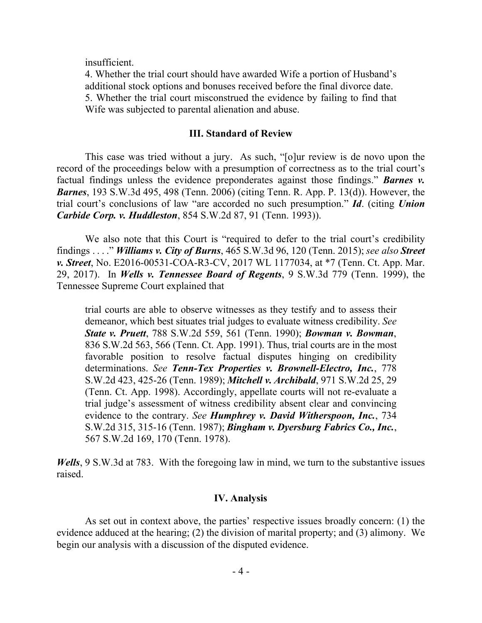insufficient.

4. Whether the trial court should have awarded Wife a portion of Husband's additional stock options and bonuses received before the final divorce date. 5. Whether the trial court misconstrued the evidence by failing to find that Wife was subjected to parental alienation and abuse.

#### **III. Standard of Review**

This case was tried without a jury. As such, "[o]ur review is de novo upon the record of the proceedings below with a presumption of correctness as to the trial court's factual findings unless the evidence preponderates against those findings." *Barnes v. Barnes*, 193 S.W.3d 495, 498 (Tenn. 2006) (citing Tenn. R. App. P. 13(d)). However, the trial court's conclusions of law "are accorded no such presumption." *Id*. (citing *Union Carbide Corp. v. Huddleston*, 854 S.W.2d 87, 91 (Tenn. 1993)).

We also note that this Court is "required to defer to the trial court's credibility findings . . . ." *Williams v. City of Burns*, 465 S.W.3d 96, 120 (Tenn. 2015); *see also Street v. Street*, No. E2016-00531-COA-R3-CV, 2017 WL 1177034, at \*7 (Tenn. Ct. App. Mar. 29, 2017). In *Wells v. Tennessee Board of Regents*, 9 S.W.3d 779 (Tenn. 1999), the Tennessee Supreme Court explained that

trial courts are able to observe witnesses as they testify and to assess their demeanor, which best situates trial judges to evaluate witness credibility. *See State v. Pruett*, 788 S.W.2d 559, 561 (Tenn. 1990); *Bowman v. Bowman*, 836 S.W.2d 563, 566 (Tenn. Ct. App. 1991). Thus, trial courts are in the most favorable position to resolve factual disputes hinging on credibility determinations. *See Tenn-Tex Properties v. Brownell-Electro, Inc.*, 778 S.W.2d 423, 425-26 (Tenn. 1989); *Mitchell v. Archibald*, 971 S.W.2d 25, 29 (Tenn. Ct. App. 1998). Accordingly, appellate courts will not re-evaluate a trial judge's assessment of witness credibility absent clear and convincing evidence to the contrary. *See Humphrey v. David Witherspoon, Inc.*, 734 S.W.2d 315, 315-16 (Tenn. 1987); *Bingham v. Dyersburg Fabrics Co., Inc.*, 567 S.W.2d 169, 170 (Tenn. 1978).

*Wells*, 9 S.W.3d at 783. With the foregoing law in mind, we turn to the substantive issues raised.

#### **IV. Analysis**

As set out in context above, the parties' respective issues broadly concern: (1) the evidence adduced at the hearing; (2) the division of marital property; and (3) alimony. We begin our analysis with a discussion of the disputed evidence.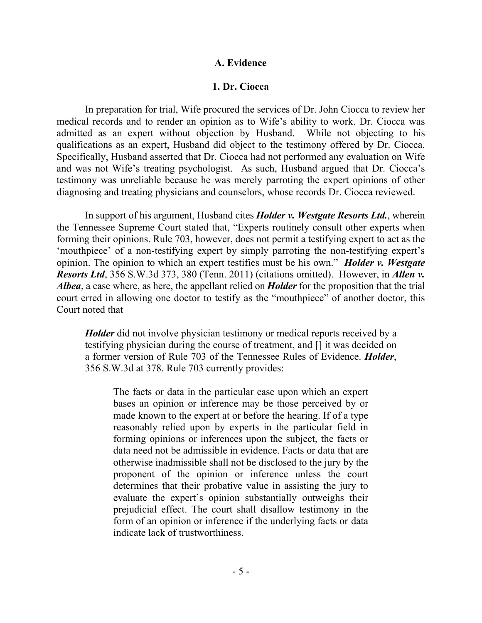#### **A. Evidence**

#### **1. Dr. Ciocca**

In preparation for trial, Wife procured the services of Dr. John Ciocca to review her medical records and to render an opinion as to Wife's ability to work. Dr. Ciocca was admitted as an expert without objection by Husband. While not objecting to his qualifications as an expert, Husband did object to the testimony offered by Dr. Ciocca. Specifically, Husband asserted that Dr. Ciocca had not performed any evaluation on Wife and was not Wife's treating psychologist. As such, Husband argued that Dr. Ciocca's testimony was unreliable because he was merely parroting the expert opinions of other diagnosing and treating physicians and counselors, whose records Dr. Ciocca reviewed.

In support of his argument, Husband cites *Holder v. Westgate Resorts Ltd.*, wherein the Tennessee Supreme Court stated that, "Experts routinely consult other experts when forming their opinions. Rule 703, however, does not permit a testifying expert to act as the 'mouthpiece' of a non-testifying expert by simply parroting the non-testifying expert's opinion. The opinion to which an expert testifies must be his own." *Holder v. Westgate Resorts Ltd*, 356 S.W.3d 373, 380 (Tenn. 2011) (citations omitted). However, in *Allen v. Albea*, a case where, as here, the appellant relied on *Holder* for the proposition that the trial court erred in allowing one doctor to testify as the "mouthpiece" of another doctor, this Court noted that

*Holder* did not involve physician testimony or medical reports received by a testifying physician during the course of treatment, and [] it was decided on a former version of Rule 703 of the Tennessee Rules of Evidence. *Holder*, 356 S.W.3d at 378. Rule 703 currently provides:

The facts or data in the particular case upon which an expert bases an opinion or inference may be those perceived by or made known to the expert at or before the hearing. If of a type reasonably relied upon by experts in the particular field in forming opinions or inferences upon the subject, the facts or data need not be admissible in evidence. Facts or data that are otherwise inadmissible shall not be disclosed to the jury by the proponent of the opinion or inference unless the court determines that their probative value in assisting the jury to evaluate the expert's opinion substantially outweighs their prejudicial effect. The court shall disallow testimony in the form of an opinion or inference if the underlying facts or data indicate lack of trustworthiness.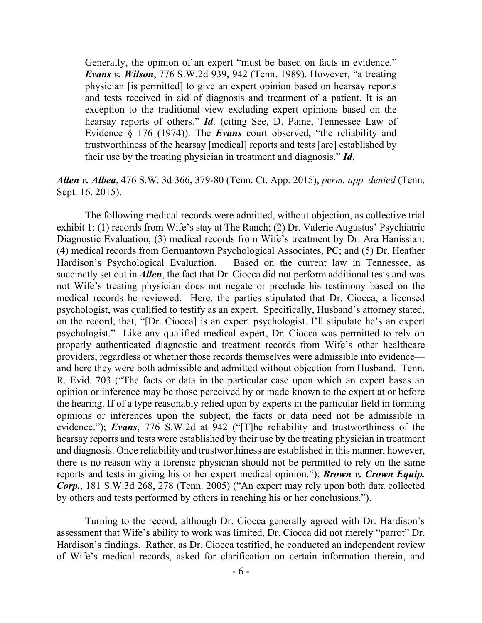Generally, the opinion of an expert "must be based on facts in evidence." *Evans v. Wilson*, 776 S.W.2d 939, 942 (Tenn. 1989). However, "a treating physician [is permitted] to give an expert opinion based on hearsay reports and tests received in aid of diagnosis and treatment of a patient. It is an exception to the traditional view excluding expert opinions based on the hearsay reports of others." *Id*. (citing See, D. Paine, Tennessee Law of Evidence § 176 (1974)). The *Evans* court observed, "the reliability and trustworthiness of the hearsay [medical] reports and tests [are] established by their use by the treating physician in treatment and diagnosis." *Id*.

## *Allen v. Albea*, 476 S.W. 3d 366, 379-80 (Tenn. Ct. App. 2015), *perm. app. denied* (Tenn. Sept. 16, 2015).

The following medical records were admitted, without objection, as collective trial exhibit 1: (1) records from Wife's stay at The Ranch; (2) Dr. Valerie Augustus' Psychiatric Diagnostic Evaluation; (3) medical records from Wife's treatment by Dr. Ara Hanissian; (4) medical records from Germantown Psychological Associates, PC; and (5) Dr. Heather Hardison's Psychological Evaluation. Based on the current law in Tennessee, as succinctly set out in *Allen*, the fact that Dr. Ciocca did not perform additional tests and was not Wife's treating physician does not negate or preclude his testimony based on the medical records he reviewed. Here, the parties stipulated that Dr. Ciocca, a licensed psychologist, was qualified to testify as an expert. Specifically, Husband's attorney stated, on the record, that, "[Dr. Ciocca] is an expert psychologist. I'll stipulate he's an expert psychologist." Like any qualified medical expert, Dr. Ciocca was permitted to rely on properly authenticated diagnostic and treatment records from Wife's other healthcare providers, regardless of whether those records themselves were admissible into evidence and here they were both admissible and admitted without objection from Husband. Tenn. R. Evid. 703 ("The facts or data in the particular case upon which an expert bases an opinion or inference may be those perceived by or made known to the expert at or before the hearing. If of a type reasonably relied upon by experts in the particular field in forming opinions or inferences upon the subject, the facts or data need not be admissible in evidence."); *Evans*, 776 S.W.2d at 942 ("[T]he reliability and trustworthiness of the hearsay reports and tests were established by their use by the treating physician in treatment and diagnosis. Once reliability and trustworthiness are established in this manner, however, there is no reason why a forensic physician should not be permitted to rely on the same reports and tests in giving his or her expert medical opinion."); *Brown v. Crown Equip. Corp.*, 181 S.W.3d 268, 278 (Tenn. 2005) ("An expert may rely upon both data collected by others and tests performed by others in reaching his or her conclusions.").

Turning to the record, although Dr. Ciocca generally agreed with Dr. Hardison's assessment that Wife's ability to work was limited, Dr. Ciocca did not merely "parrot" Dr. Hardison's findings. Rather, as Dr. Ciocca testified, he conducted an independent review of Wife's medical records, asked for clarification on certain information therein, and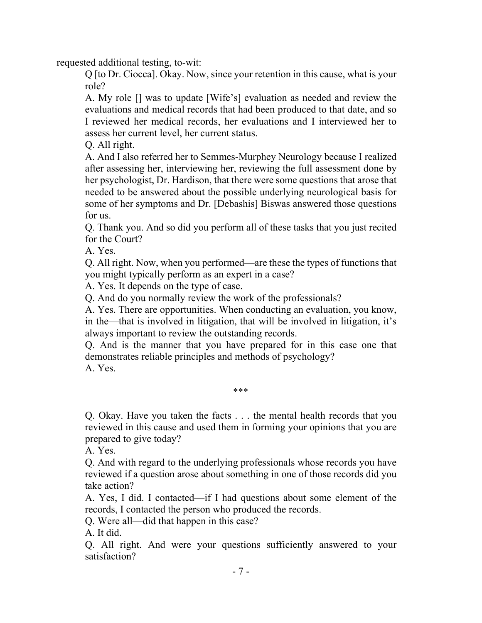requested additional testing, to-wit:

Q [to Dr. Ciocca]. Okay. Now, since your retention in this cause, what is your role?

A. My role [] was to update [Wife's] evaluation as needed and review the evaluations and medical records that had been produced to that date, and so I reviewed her medical records, her evaluations and I interviewed her to assess her current level, her current status.

Q. All right.

A. And I also referred her to Semmes-Murphey Neurology because I realized after assessing her, interviewing her, reviewing the full assessment done by her psychologist, Dr. Hardison, that there were some questions that arose that needed to be answered about the possible underlying neurological basis for some of her symptoms and Dr. [Debashis] Biswas answered those questions for us.

Q. Thank you. And so did you perform all of these tasks that you just recited for the Court?

A. Yes.

Q. All right. Now, when you performed—are these the types of functions that you might typically perform as an expert in a case?

A. Yes. It depends on the type of case.

Q. And do you normally review the work of the professionals?

A. Yes. There are opportunities. When conducting an evaluation, you know, in the—that is involved in litigation, that will be involved in litigation, it's always important to review the outstanding records.

Q. And is the manner that you have prepared for in this case one that demonstrates reliable principles and methods of psychology?

A. Yes.

\*\*\*

Q. Okay. Have you taken the facts . . . the mental health records that you reviewed in this cause and used them in forming your opinions that you are prepared to give today?

A. Yes.

Q. And with regard to the underlying professionals whose records you have reviewed if a question arose about something in one of those records did you take action?

A. Yes, I did. I contacted—if I had questions about some element of the records, I contacted the person who produced the records.

Q. Were all—did that happen in this case?

A. It did.

Q. All right. And were your questions sufficiently answered to your satisfaction?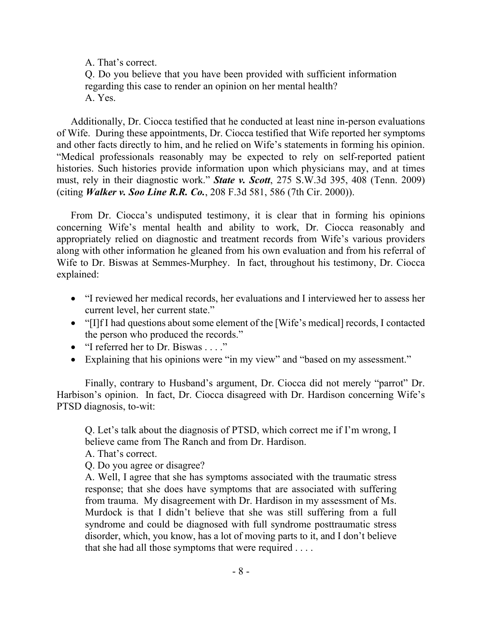A. That's correct.

Q. Do you believe that you have been provided with sufficient information regarding this case to render an opinion on her mental health? A. Yes.

Additionally, Dr. Ciocca testified that he conducted at least nine in-person evaluations of Wife. During these appointments, Dr. Ciocca testified that Wife reported her symptoms and other facts directly to him, and he relied on Wife's statements in forming his opinion. "Medical professionals reasonably may be expected to rely on self-reported patient histories. Such histories provide information upon which physicians may, and at times must, rely in their diagnostic work." *State v. Scott*, 275 S.W.3d 395, 408 (Tenn. 2009) (citing *Walker v. Soo Line R.R. Co.*, 208 F.3d 581, 586 (7th Cir. 2000)).

From Dr. Ciocca's undisputed testimony, it is clear that in forming his opinions concerning Wife's mental health and ability to work, Dr. Ciocca reasonably and appropriately relied on diagnostic and treatment records from Wife's various providers along with other information he gleaned from his own evaluation and from his referral of Wife to Dr. Biswas at Semmes-Murphey. In fact, throughout his testimony, Dr. Ciocca explained:

- "I reviewed her medical records, her evaluations and I interviewed her to assess her current level, her current state."
- "[I]f I had questions about some element of the [Wife's medical] records, I contacted the person who produced the records."
- "I referred her to Dr. Biswas . . . ."
- Explaining that his opinions were "in my view" and "based on my assessment."

Finally, contrary to Husband's argument, Dr. Ciocca did not merely "parrot" Dr. Harbison's opinion. In fact, Dr. Ciocca disagreed with Dr. Hardison concerning Wife's PTSD diagnosis, to-wit:

Q. Let's talk about the diagnosis of PTSD, which correct me if I'm wrong, I believe came from The Ranch and from Dr. Hardison.

A. That's correct.

Q. Do you agree or disagree?

A. Well, I agree that she has symptoms associated with the traumatic stress response; that she does have symptoms that are associated with suffering from trauma. My disagreement with Dr. Hardison in my assessment of Ms. Murdock is that I didn't believe that she was still suffering from a full syndrome and could be diagnosed with full syndrome posttraumatic stress disorder, which, you know, has a lot of moving parts to it, and I don't believe that she had all those symptoms that were required . . . .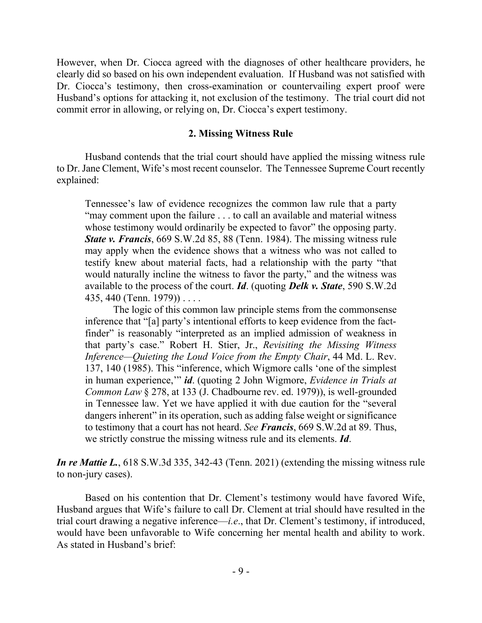However, when Dr. Ciocca agreed with the diagnoses of other healthcare providers, he clearly did so based on his own independent evaluation. If Husband was not satisfied with Dr. Ciocca's testimony, then cross-examination or countervailing expert proof were Husband's options for attacking it, not exclusion of the testimony. The trial court did not commit error in allowing, or relying on, Dr. Ciocca's expert testimony.

#### **2. Missing Witness Rule**

Husband contends that the trial court should have applied the missing witness rule to Dr. Jane Clement, Wife's most recent counselor. The Tennessee Supreme Court recently explained:

Tennessee's law of evidence recognizes the common law rule that a party "may comment upon the failure . . . to call an available and material witness whose testimony would ordinarily be expected to favor" the opposing party. *State v. Francis*, 669 S.W.2d 85, 88 (Tenn. 1984). The missing witness rule may apply when the evidence shows that a witness who was not called to testify knew about material facts, had a relationship with the party "that would naturally incline the witness to favor the party," and the witness was available to the process of the court. *Id*. (quoting *Delk v. State*, 590 S.W.2d 435, 440 (Tenn. 1979)) . . . .

The logic of this common law principle stems from the commonsense inference that "[a] party's intentional efforts to keep evidence from the factfinder" is reasonably "interpreted as an implied admission of weakness in that party's case." Robert H. Stier, Jr., *Revisiting the Missing Witness Inference—Quieting the Loud Voice from the Empty Chair*, 44 Md. L. Rev. 137, 140 (1985). This "inference, which Wigmore calls 'one of the simplest in human experience,'" *id*. (quoting 2 John Wigmore, *Evidence in Trials at Common Law* § 278, at 133 (J. Chadbourne rev. ed. 1979)), is well-grounded in Tennessee law. Yet we have applied it with due caution for the "several dangers inherent" in its operation, such as adding false weight or significance to testimony that a court has not heard. *See Francis*, 669 S.W.2d at 89. Thus, we strictly construe the missing witness rule and its elements. *Id*.

*In re Mattie L.*, 618 S.W.3d 335, 342-43 (Tenn. 2021) (extending the missing witness rule to non-jury cases).

Based on his contention that Dr. Clement's testimony would have favored Wife, Husband argues that Wife's failure to call Dr. Clement at trial should have resulted in the trial court drawing a negative inference—*i.e*., that Dr. Clement's testimony, if introduced, would have been unfavorable to Wife concerning her mental health and ability to work. As stated in Husband's brief: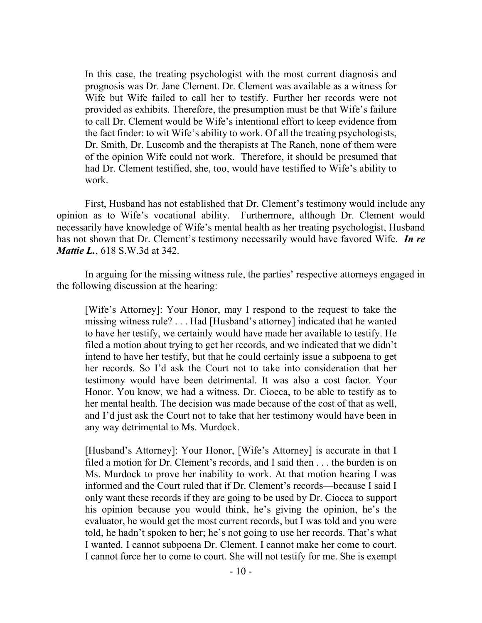In this case, the treating psychologist with the most current diagnosis and prognosis was Dr. Jane Clement. Dr. Clement was available as a witness for Wife but Wife failed to call her to testify. Further her records were not provided as exhibits. Therefore, the presumption must be that Wife's failure to call Dr. Clement would be Wife's intentional effort to keep evidence from the fact finder: to wit Wife's ability to work. Of all the treating psychologists, Dr. Smith, Dr. Luscomb and the therapists at The Ranch, none of them were of the opinion Wife could not work. Therefore, it should be presumed that had Dr. Clement testified, she, too, would have testified to Wife's ability to work.

First, Husband has not established that Dr. Clement's testimony would include any opinion as to Wife's vocational ability. Furthermore, although Dr. Clement would necessarily have knowledge of Wife's mental health as her treating psychologist, Husband has not shown that Dr. Clement's testimony necessarily would have favored Wife. *In re Mattie L.*, 618 S.W.3d at 342.

In arguing for the missing witness rule, the parties' respective attorneys engaged in the following discussion at the hearing:

[Wife's Attorney]: Your Honor, may I respond to the request to take the missing witness rule? . . . Had [Husband's attorney] indicated that he wanted to have her testify, we certainly would have made her available to testify. He filed a motion about trying to get her records, and we indicated that we didn't intend to have her testify, but that he could certainly issue a subpoena to get her records. So I'd ask the Court not to take into consideration that her testimony would have been detrimental. It was also a cost factor. Your Honor. You know, we had a witness. Dr. Ciocca, to be able to testify as to her mental health. The decision was made because of the cost of that as well, and I'd just ask the Court not to take that her testimony would have been in any way detrimental to Ms. Murdock.

[Husband's Attorney]: Your Honor, [Wife's Attorney] is accurate in that I filed a motion for Dr. Clement's records, and I said then . . . the burden is on Ms. Murdock to prove her inability to work. At that motion hearing I was informed and the Court ruled that if Dr. Clement's records—because I said I only want these records if they are going to be used by Dr. Ciocca to support his opinion because you would think, he's giving the opinion, he's the evaluator, he would get the most current records, but I was told and you were told, he hadn't spoken to her; he's not going to use her records. That's what I wanted. I cannot subpoena Dr. Clement. I cannot make her come to court. I cannot force her to come to court. She will not testify for me. She is exempt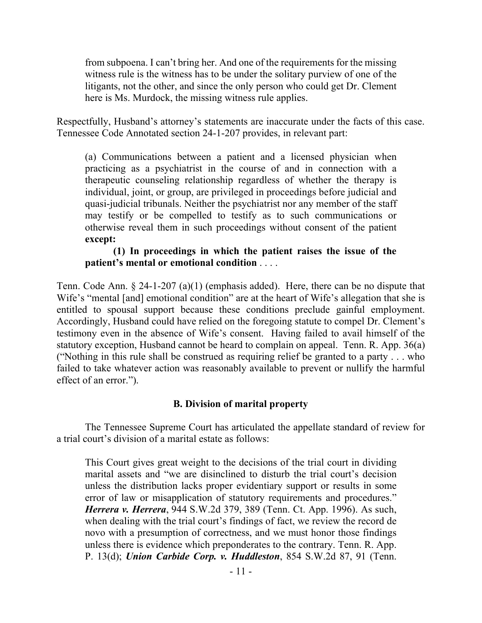from subpoena. I can't bring her. And one of the requirements for the missing witness rule is the witness has to be under the solitary purview of one of the litigants, not the other, and since the only person who could get Dr. Clement here is Ms. Murdock, the missing witness rule applies.

Respectfully, Husband's attorney's statements are inaccurate under the facts of this case. Tennessee Code Annotated section 24-1-207 provides, in relevant part:

(a) Communications between a patient and a licensed physician when practicing as a psychiatrist in the course of and in connection with a therapeutic counseling relationship regardless of whether the therapy is individual, joint, or group, are privileged in proceedings before judicial and quasi-judicial tribunals. Neither the psychiatrist nor any member of the staff may testify or be compelled to testify as to such communications or otherwise reveal them in such proceedings without consent of the patient **except:**

### **(1) In proceedings in which the patient raises the issue of the patient's mental or emotional condition** . . . .

Tenn. Code Ann. § 24-1-207 (a)(1) (emphasis added). Here, there can be no dispute that Wife's "mental [and] emotional condition" are at the heart of Wife's allegation that she is entitled to spousal support because these conditions preclude gainful employment. Accordingly, Husband could have relied on the foregoing statute to compel Dr. Clement's testimony even in the absence of Wife's consent. Having failed to avail himself of the statutory exception, Husband cannot be heard to complain on appeal. Tenn. R. App. 36(a) ("Nothing in this rule shall be construed as requiring relief be granted to a party . . . who failed to take whatever action was reasonably available to prevent or nullify the harmful effect of an error.").

# **B. Division of marital property**

The Tennessee Supreme Court has articulated the appellate standard of review for a trial court's division of a marital estate as follows:

This Court gives great weight to the decisions of the trial court in dividing marital assets and "we are disinclined to disturb the trial court's decision unless the distribution lacks proper evidentiary support or results in some error of law or misapplication of statutory requirements and procedures." *Herrera v. Herrera*, 944 S.W.2d 379, 389 (Tenn. Ct. App. 1996). As such, when dealing with the trial court's findings of fact, we review the record de novo with a presumption of correctness, and we must honor those findings unless there is evidence which preponderates to the contrary. Tenn. R. App. P. 13(d); *Union Carbide Corp. v. Huddleston*, 854 S.W.2d 87, 91 (Tenn.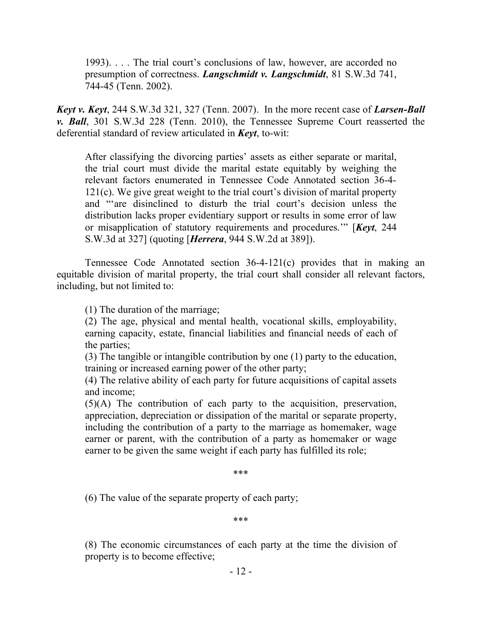1993). . . . The trial court's conclusions of law, however, are accorded no presumption of correctness. *Langschmidt v. Langschmidt*, 81 S.W.3d 741, 744-45 (Tenn. 2002).

*Keyt v. Keyt*, 244 S.W.3d 321, 327 (Tenn. 2007). In the more recent case of *Larsen-Ball v. Ball*, 301 S.W.3d 228 (Tenn. 2010), the Tennessee Supreme Court reasserted the deferential standard of review articulated in *Keyt*, to-wit:

After classifying the divorcing parties' assets as either separate or marital, the trial court must divide the marital estate equitably by weighing the relevant factors enumerated in Tennessee Code Annotated section 36-4- 121(c). We give great weight to the trial court's division of marital property and "'are disinclined to disturb the trial court's decision unless the distribution lacks proper evidentiary support or results in some error of law or misapplication of statutory requirements and procedures.'" [*Keyt*, 244 S.W.3d at 327] (quoting [*Herrera*, 944 S.W.2d at 389]).

Tennessee Code Annotated section 36-4-121(c) provides that in making an equitable division of marital property, the trial court shall consider all relevant factors, including, but not limited to:

(1) The duration of the marriage;

(2) The age, physical and mental health, vocational skills, employability, earning capacity, estate, financial liabilities and financial needs of each of the parties;

(3) The tangible or intangible contribution by one (1) party to the education, training or increased earning power of the other party;

(4) The relative ability of each party for future acquisitions of capital assets and income;

(5)(A) The contribution of each party to the acquisition, preservation, appreciation, depreciation or dissipation of the marital or separate property, including the contribution of a party to the marriage as homemaker, wage earner or parent, with the contribution of a party as homemaker or wage earner to be given the same weight if each party has fulfilled its role;

\*\*\*

(6) The value of the separate property of each party;

\*\*\*

(8) The economic circumstances of each party at the time the division of property is to become effective;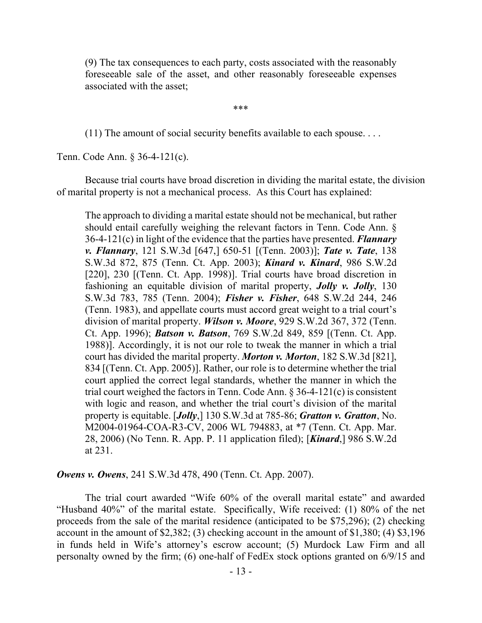(9) The tax consequences to each party, costs associated with the reasonably foreseeable sale of the asset, and other reasonably foreseeable expenses associated with the asset;

\*\*\*

 $(11)$  The amount of social security benefits available to each spouse...

Tenn. Code Ann. § 36-4-121(c).

Because trial courts have broad discretion in dividing the marital estate, the division of marital property is not a mechanical process. As this Court has explained:

The approach to dividing a marital estate should not be mechanical, but rather should entail carefully weighing the relevant factors in Tenn. Code Ann. § 36-4-121(c) in light of the evidence that the parties have presented. *Flannary v. Flannary*, 121 S.W.3d [647,] 650-51 [(Tenn. 2003)]; *Tate v. Tate*, 138 S.W.3d 872, 875 (Tenn. Ct. App. 2003); *Kinard v. Kinard*, 986 S.W.2d [220], 230 [(Tenn. Ct. App. 1998)]. Trial courts have broad discretion in fashioning an equitable division of marital property, *Jolly v. Jolly*, 130 S.W.3d 783, 785 (Tenn. 2004); *Fisher v. Fisher*, 648 S.W.2d 244, 246 (Tenn. 1983), and appellate courts must accord great weight to a trial court's division of marital property. *Wilson v. Moore*, 929 S.W.2d 367, 372 (Tenn. Ct. App. 1996); *Batson v. Batson*, 769 S.W.2d 849, 859 [(Tenn. Ct. App. 1988)]. Accordingly, it is not our role to tweak the manner in which a trial court has divided the marital property. *Morton v. Morton*, 182 S.W.3d [821], 834 [(Tenn. Ct. App. 2005)]. Rather, our role is to determine whether the trial court applied the correct legal standards, whether the manner in which the trial court weighed the factors in Tenn. Code Ann.  $\S 36-4-121(c)$  is consistent with logic and reason, and whether the trial court's division of the marital property is equitable. [*Jolly*,] 130 S.W.3d at 785-86; *Gratton v. Gratton*, No. M2004-01964-COA-R3-CV, 2006 WL 794883, at \*7 (Tenn. Ct. App. Mar. 28, 2006) (No Tenn. R. App. P. 11 application filed); [*Kinard*,] 986 S.W.2d at 231.

*Owens v. Owens*, 241 S.W.3d 478, 490 (Tenn. Ct. App. 2007).

The trial court awarded "Wife 60% of the overall marital estate" and awarded "Husband 40%" of the marital estate. Specifically, Wife received: (1) 80% of the net proceeds from the sale of the marital residence (anticipated to be \$75,296); (2) checking account in the amount of \$2,382; (3) checking account in the amount of \$1,380; (4) \$3,196 in funds held in Wife's attorney's escrow account; (5) Murdock Law Firm and all personalty owned by the firm; (6) one-half of FedEx stock options granted on 6/9/15 and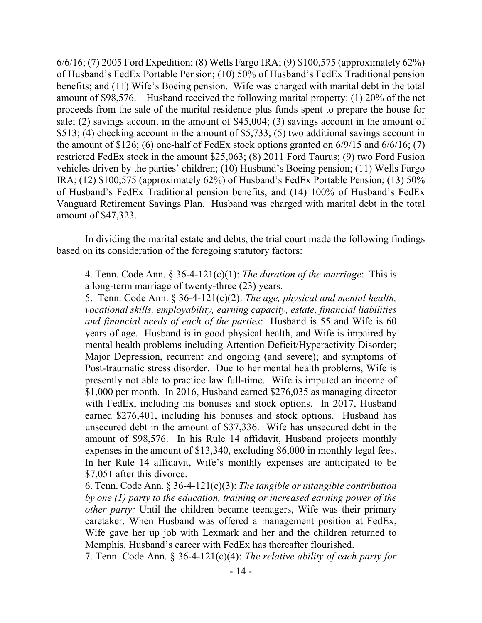6/6/16; (7) 2005 Ford Expedition; (8) Wells Fargo IRA; (9) \$100,575 (approximately 62%) of Husband's FedEx Portable Pension; (10) 50% of Husband's FedEx Traditional pension benefits; and (11) Wife's Boeing pension. Wife was charged with marital debt in the total amount of \$98,576. Husband received the following marital property: (1) 20% of the net proceeds from the sale of the marital residence plus funds spent to prepare the house for sale; (2) savings account in the amount of \$45,004; (3) savings account in the amount of \$513; (4) checking account in the amount of \$5,733; (5) two additional savings account in the amount of  $$126$ ; (6) one-half of FedEx stock options granted on  $6/9/15$  and  $6/6/16$ ; (7) restricted FedEx stock in the amount \$25,063; (8) 2011 Ford Taurus; (9) two Ford Fusion vehicles driven by the parties' children; (10) Husband's Boeing pension; (11) Wells Fargo IRA; (12) \$100,575 (approximately 62%) of Husband's FedEx Portable Pension; (13) 50% of Husband's FedEx Traditional pension benefits; and (14) 100% of Husband's FedEx Vanguard Retirement Savings Plan. Husband was charged with marital debt in the total amount of \$47,323.

In dividing the marital estate and debts, the trial court made the following findings based on its consideration of the foregoing statutory factors:

4. Tenn. Code Ann. § 36-4-121(c)(1): *The duration of the marriage*: This is a long-term marriage of twenty-three (23) years.

5. Tenn. Code Ann. § 36-4-121(c)(2): *The age, physical and mental health, vocational skills, employability, earning capacity, estate, financial liabilities and financial needs of each of the parties*: Husband is 55 and Wife is 60 years of age. Husband is in good physical health, and Wife is impaired by mental health problems including Attention Deficit/Hyperactivity Disorder; Major Depression, recurrent and ongoing (and severe); and symptoms of Post-traumatic stress disorder. Due to her mental health problems, Wife is presently not able to practice law full-time. Wife is imputed an income of \$1,000 per month. In 2016, Husband earned \$276,035 as managing director with FedEx, including his bonuses and stock options. In 2017, Husband earned \$276,401, including his bonuses and stock options. Husband has unsecured debt in the amount of \$37,336. Wife has unsecured debt in the amount of \$98,576. In his Rule 14 affidavit, Husband projects monthly expenses in the amount of \$13,340, excluding \$6,000 in monthly legal fees. In her Rule 14 affidavit, Wife's monthly expenses are anticipated to be \$7,051 after this divorce.

6. Tenn. Code Ann. § 36-4-121(c)(3): *The tangible or intangible contribution by one (1) party to the education, training or increased earning power of the other party:* Until the children became teenagers, Wife was their primary caretaker. When Husband was offered a management position at FedEx, Wife gave her up job with Lexmark and her and the children returned to Memphis. Husband's career with FedEx has thereafter flourished.

7. Tenn. Code Ann. § 36-4-121(c)(4): *The relative ability of each party for*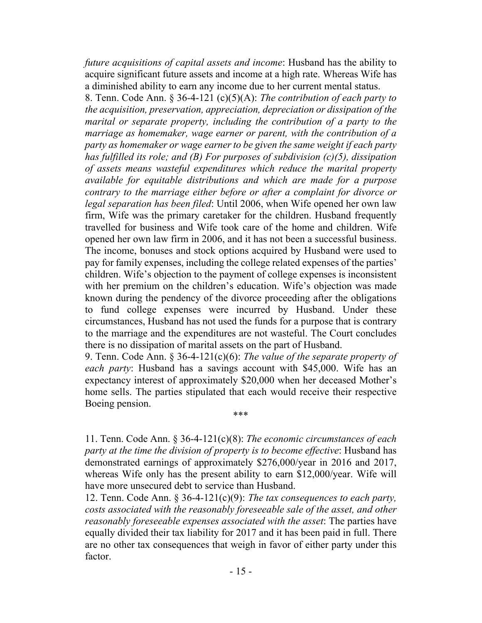*future acquisitions of capital assets and income*: Husband has the ability to acquire significant future assets and income at a high rate. Whereas Wife has a diminished ability to earn any income due to her current mental status.

8. Tenn. Code Ann. § 36-4-121 (c)(5)(A): *The contribution of each party to the acquisition, preservation, appreciation, depreciation or dissipation of the marital or separate property, including the contribution of a party to the marriage as homemaker, wage earner or parent, with the contribution of a party as homemaker or wage earner to be given the same weight if each party has fulfilled its role; and (B) For purposes of subdivision (c)(5), dissipation of assets means wasteful expenditures which reduce the marital property available for equitable distributions and which are made for a purpose contrary to the marriage either before or after a complaint for divorce or legal separation has been filed*: Until 2006, when Wife opened her own law firm, Wife was the primary caretaker for the children. Husband frequently travelled for business and Wife took care of the home and children. Wife opened her own law firm in 2006, and it has not been a successful business. The income, bonuses and stock options acquired by Husband were used to pay for family expenses, including the college related expenses of the parties' children. Wife's objection to the payment of college expenses is inconsistent with her premium on the children's education. Wife's objection was made known during the pendency of the divorce proceeding after the obligations to fund college expenses were incurred by Husband. Under these circumstances, Husband has not used the funds for a purpose that is contrary to the marriage and the expenditures are not wasteful. The Court concludes there is no dissipation of marital assets on the part of Husband.

9. Tenn. Code Ann. § 36-4-121(c)(6): *The value of the separate property of each party*: Husband has a savings account with \$45,000. Wife has an expectancy interest of approximately \$20,000 when her deceased Mother's home sells. The parties stipulated that each would receive their respective Boeing pension.

\*\*\*

11. Tenn. Code Ann. § 36-4-121(c)(8): *The economic circumstances of each party at the time the division of property is to become effective*: Husband has demonstrated earnings of approximately \$276,000/year in 2016 and 2017, whereas Wife only has the present ability to earn \$12,000/year. Wife will have more unsecured debt to service than Husband.

12. Tenn. Code Ann. § 36-4-121(c)(9): *The tax consequences to each party, costs associated with the reasonably foreseeable sale of the asset, and other reasonably foreseeable expenses associated with the asset*: The parties have equally divided their tax liability for 2017 and it has been paid in full. There are no other tax consequences that weigh in favor of either party under this factor.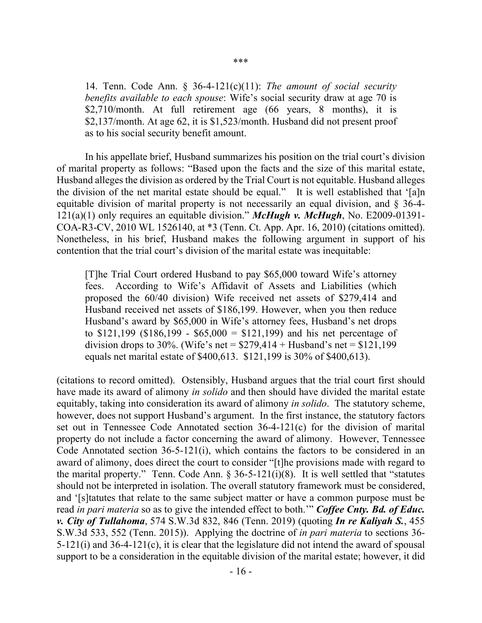14. Tenn. Code Ann. § 36-4-121(c)(11): *The amount of social security benefits available to each spouse*: Wife's social security draw at age 70 is \$2,710/month. At full retirement age (66 years, 8 months), it is \$2,137/month. At age 62, it is \$1,523/month. Husband did not present proof as to his social security benefit amount.

In his appellate brief, Husband summarizes his position on the trial court's division of marital property as follows: "Based upon the facts and the size of this marital estate, Husband alleges the division as ordered by the Trial Court is not equitable. Husband alleges the division of the net marital estate should be equal." It is well established that '[a]n equitable division of marital property is not necessarily an equal division, and § 36-4- 121(a)(1) only requires an equitable division." *McHugh v. McHugh*, No. E2009-01391- COA-R3-CV, 2010 WL 1526140, at \*3 (Tenn. Ct. App. Apr. 16, 2010) (citations omitted). Nonetheless, in his brief, Husband makes the following argument in support of his contention that the trial court's division of the marital estate was inequitable:

[T]he Trial Court ordered Husband to pay \$65,000 toward Wife's attorney fees. According to Wife's Affidavit of Assets and Liabilities (which proposed the 60/40 division) Wife received net assets of \$279,414 and Husband received net assets of \$186,199. However, when you then reduce Husband's award by \$65,000 in Wife's attorney fees, Husband's net drops to  $$121,199$  ( $$186,199 - $65,000 = $121,199$ ) and his net percentage of division drops to 30%. (Wife's net =  $$279,414 + Hushand$ 's net =  $$121,199$ equals net marital estate of \$400,613. \$121,199 is 30% of \$400,613).

(citations to record omitted). Ostensibly, Husband argues that the trial court first should have made its award of alimony *in solido* and then should have divided the marital estate equitably, taking into consideration its award of alimony *in solido*. The statutory scheme, however, does not support Husband's argument. In the first instance, the statutory factors set out in Tennessee Code Annotated section 36-4-121(c) for the division of marital property do not include a factor concerning the award of alimony. However, Tennessee Code Annotated section 36-5-121(i), which contains the factors to be considered in an award of alimony, does direct the court to consider "[t]he provisions made with regard to the marital property." Tenn. Code Ann.  $\S 36-5-121(i)(8)$ . It is well settled that "statutes" should not be interpreted in isolation. The overall statutory framework must be considered, and '[s]tatutes that relate to the same subject matter or have a common purpose must be read *in pari materia* so as to give the intended effect to both.'" *Coffee Cnty. Bd. of Educ. v. City of Tullahoma*, 574 S.W.3d 832, 846 (Tenn. 2019) (quoting *In re Kaliyah S.*, 455 S.W.3d 533, 552 (Tenn. 2015)). Applying the doctrine of *in pari materia* to sections 36- 5-121(i) and 36-4-121(c), it is clear that the legislature did not intend the award of spousal support to be a consideration in the equitable division of the marital estate; however, it did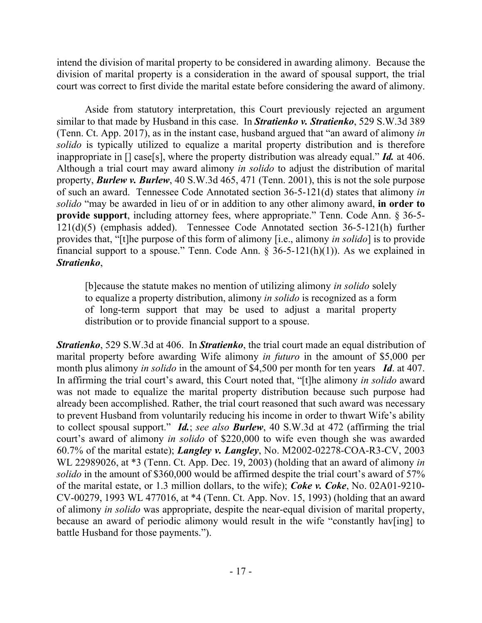intend the division of marital property to be considered in awarding alimony. Because the division of marital property is a consideration in the award of spousal support, the trial court was correct to first divide the marital estate before considering the award of alimony.

Aside from statutory interpretation, this Court previously rejected an argument similar to that made by Husband in this case. In *Stratienko v. Stratienko*, 529 S.W.3d 389 (Tenn. Ct. App. 2017), as in the instant case, husband argued that "an award of alimony *in solido* is typically utilized to equalize a marital property distribution and is therefore inappropriate in [] case[s], where the property distribution was already equal." *Id.* at 406. Although a trial court may award alimony *in solido* to adjust the distribution of marital property, *Burlew v. Burlew*, 40 S.W.3d 465, 471 (Tenn. 2001), this is not the sole purpose of such an award. Tennessee Code Annotated section 36-5-121(d) states that alimony *in solido* "may be awarded in lieu of or in addition to any other alimony award, **in order to provide support**, including attorney fees, where appropriate." Tenn. Code Ann. § 36-5- 121(d)(5) (emphasis added). Tennessee Code Annotated section 36-5-121(h) further provides that, "[t]he purpose of this form of alimony [i.e., alimony *in solido*] is to provide financial support to a spouse." Tenn. Code Ann.  $\S$  36-5-121(h)(1)). As we explained in *Stratienko*,

[b]ecause the statute makes no mention of utilizing alimony *in solido* solely to equalize a property distribution, alimony *in solido* is recognized as a form of long-term support that may be used to adjust a marital property distribution or to provide financial support to a spouse.

*Stratienko*, 529 S.W.3d at 406. In *Stratienko*, the trial court made an equal distribution of marital property before awarding Wife alimony *in futuro* in the amount of \$5,000 per month plus alimony *in solido* in the amount of \$4,500 per month for ten years *Id*. at 407. In affirming the trial court's award, this Court noted that, "[t]he alimony *in solido* award was not made to equalize the marital property distribution because such purpose had already been accomplished. Rather, the trial court reasoned that such award was necessary to prevent Husband from voluntarily reducing his income in order to thwart Wife's ability to collect spousal support." *Id.*; *see also Burlew*, 40 S.W.3d at 472 (affirming the trial court's award of alimony *in solido* of \$220,000 to wife even though she was awarded 60.7% of the marital estate); *Langley v. Langley*, No. M2002-02278-COA-R3-CV, 2003 WL 22989026, at \*3 (Tenn. Ct. App. Dec. 19, 2003) (holding that an award of alimony *in solido* in the amount of \$360,000 would be affirmed despite the trial court's award of 57% of the marital estate, or 1.3 million dollars, to the wife); *Coke v. Coke*, No. 02A01-9210- CV-00279, 1993 WL 477016, at \*4 (Tenn. Ct. App. Nov. 15, 1993) (holding that an award of alimony *in solido* was appropriate, despite the near-equal division of marital property, because an award of periodic alimony would result in the wife "constantly hav[ing] to battle Husband for those payments.").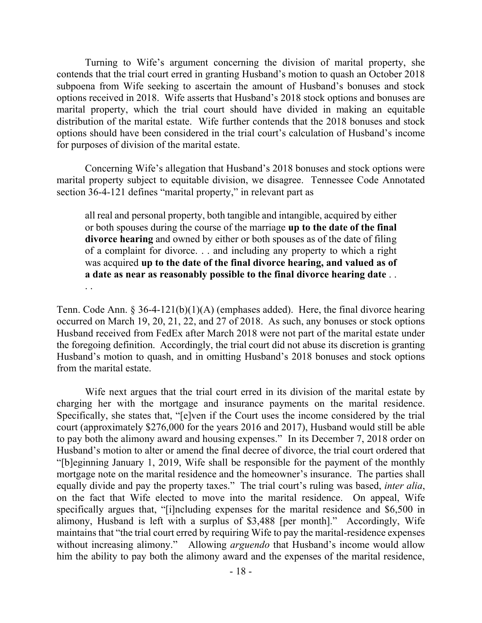Turning to Wife's argument concerning the division of marital property, she contends that the trial court erred in granting Husband's motion to quash an October 2018 subpoena from Wife seeking to ascertain the amount of Husband's bonuses and stock options received in 2018. Wife asserts that Husband's 2018 stock options and bonuses are marital property, which the trial court should have divided in making an equitable distribution of the marital estate. Wife further contends that the 2018 bonuses and stock options should have been considered in the trial court's calculation of Husband's income for purposes of division of the marital estate.

Concerning Wife's allegation that Husband's 2018 bonuses and stock options were marital property subject to equitable division, we disagree. Tennessee Code Annotated section 36-4-121 defines "marital property," in relevant part as

all real and personal property, both tangible and intangible, acquired by either or both spouses during the course of the marriage **up to the date of the final divorce hearing** and owned by either or both spouses as of the date of filing of a complaint for divorce. . . and including any property to which a right was acquired **up to the date of the final divorce hearing, and valued as of a date as near as reasonably possible to the final divorce hearing date** . . . .

Tenn. Code Ann. § 36-4-121(b)(1)(A) (emphases added). Here, the final divorce hearing occurred on March 19, 20, 21, 22, and 27 of 2018. As such, any bonuses or stock options Husband received from FedEx after March 2018 were not part of the marital estate under the foregoing definition. Accordingly, the trial court did not abuse its discretion is granting Husband's motion to quash, and in omitting Husband's 2018 bonuses and stock options from the marital estate.

Wife next argues that the trial court erred in its division of the marital estate by charging her with the mortgage and insurance payments on the marital residence. Specifically, she states that, "[e]ven if the Court uses the income considered by the trial court (approximately \$276,000 for the years 2016 and 2017), Husband would still be able to pay both the alimony award and housing expenses." In its December 7, 2018 order on Husband's motion to alter or amend the final decree of divorce, the trial court ordered that "[b]eginning January 1, 2019, Wife shall be responsible for the payment of the monthly mortgage note on the marital residence and the homeowner's insurance. The parties shall equally divide and pay the property taxes." The trial court's ruling was based, *inter alia*, on the fact that Wife elected to move into the marital residence. On appeal, Wife specifically argues that, "[i]ncluding expenses for the marital residence and \$6,500 in alimony, Husband is left with a surplus of \$3,488 [per month]." Accordingly, Wife maintains that "the trial court erred by requiring Wife to pay the marital-residence expenses without increasing alimony." Allowing *arguendo* that Husband's income would allow him the ability to pay both the alimony award and the expenses of the marital residence,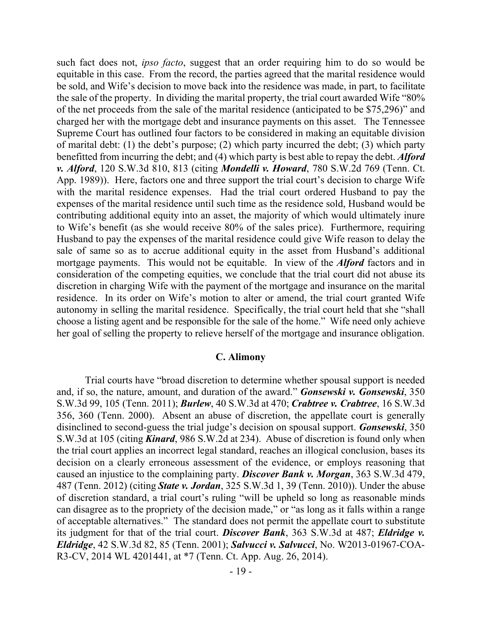such fact does not, *ipso facto*, suggest that an order requiring him to do so would be equitable in this case. From the record, the parties agreed that the marital residence would be sold, and Wife's decision to move back into the residence was made, in part, to facilitate the sale of the property. In dividing the marital property, the trial court awarded Wife "80% of the net proceeds from the sale of the marital residence (anticipated to be \$75,296)" and charged her with the mortgage debt and insurance payments on this asset. The Tennessee Supreme Court has outlined four factors to be considered in making an equitable division of marital debt: (1) the debt's purpose; (2) which party incurred the debt; (3) which party benefitted from incurring the debt; and (4) which party is best able to repay the debt. *Alford v. Alford*, 120 S.W.3d 810, 813 (citing *Mondelli v. Howard*, 780 S.W.2d 769 (Tenn. Ct. App. 1989)). Here, factors one and three support the trial court's decision to charge Wife with the marital residence expenses. Had the trial court ordered Husband to pay the expenses of the marital residence until such time as the residence sold, Husband would be contributing additional equity into an asset, the majority of which would ultimately inure to Wife's benefit (as she would receive 80% of the sales price). Furthermore, requiring Husband to pay the expenses of the marital residence could give Wife reason to delay the sale of same so as to accrue additional equity in the asset from Husband's additional mortgage payments. This would not be equitable. In view of the *Alford* factors and in consideration of the competing equities, we conclude that the trial court did not abuse its discretion in charging Wife with the payment of the mortgage and insurance on the marital residence. In its order on Wife's motion to alter or amend, the trial court granted Wife autonomy in selling the marital residence. Specifically, the trial court held that she "shall choose a listing agent and be responsible for the sale of the home." Wife need only achieve her goal of selling the property to relieve herself of the mortgage and insurance obligation.

#### **C. Alimony**

Trial courts have "broad discretion to determine whether spousal support is needed and, if so, the nature, amount, and duration of the award." *Gonsewski v. Gonsewski*, 350 S.W.3d 99, 105 (Tenn. 2011); *Burlew*, 40 S.W.3d at 470; *Crabtree v. Crabtree*, 16 S.W.3d 356, 360 (Tenn. 2000). Absent an abuse of discretion, the appellate court is generally disinclined to second-guess the trial judge's decision on spousal support. *Gonsewski*, 350 S.W.3d at 105 (citing *Kinard*, 986 S.W.2d at 234). Abuse of discretion is found only when the trial court applies an incorrect legal standard, reaches an illogical conclusion, bases its decision on a clearly erroneous assessment of the evidence, or employs reasoning that caused an injustice to the complaining party. *Discover Bank v. Morgan*, 363 S.W.3d 479, 487 (Tenn. 2012) (citing *State v. Jordan*, 325 S.W.3d 1, 39 (Tenn. 2010)). Under the abuse of discretion standard, a trial court's ruling "will be upheld so long as reasonable minds can disagree as to the propriety of the decision made," or "as long as it falls within a range of acceptable alternatives." The standard does not permit the appellate court to substitute its judgment for that of the trial court. *Discover Bank*, 363 S.W.3d at 487; *Eldridge v. Eldridge*, 42 S.W.3d 82, 85 (Tenn. 2001); *Salvucci v. Salvucci*, No. W2013-01967-COA-R3-CV, 2014 WL 4201441, at \*7 (Tenn. Ct. App. Aug. 26, 2014).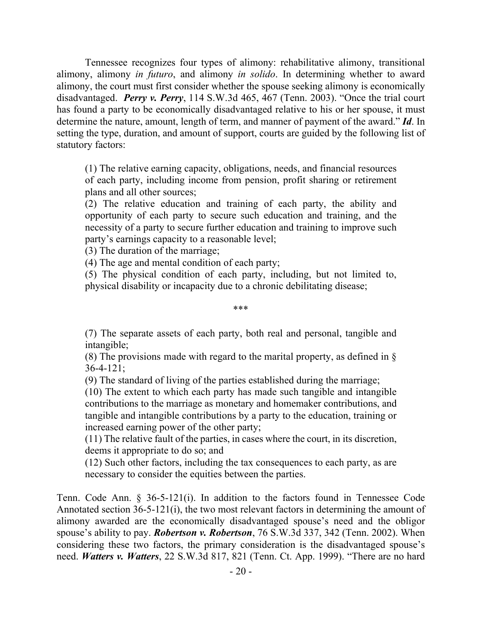Tennessee recognizes four types of alimony: rehabilitative alimony, transitional alimony, alimony *in futuro*, and alimony *in solido*. In determining whether to award alimony, the court must first consider whether the spouse seeking alimony is economically disadvantaged. *Perry v. Perry*, 114 S.W.3d 465, 467 (Tenn. 2003). "Once the trial court has found a party to be economically disadvantaged relative to his or her spouse, it must determine the nature, amount, length of term, and manner of payment of the award." *Id*. In setting the type, duration, and amount of support, courts are guided by the following list of statutory factors:

(1) The relative earning capacity, obligations, needs, and financial resources of each party, including income from pension, profit sharing or retirement plans and all other sources;

(2) The relative education and training of each party, the ability and opportunity of each party to secure such education and training, and the necessity of a party to secure further education and training to improve such party's earnings capacity to a reasonable level;

(3) The duration of the marriage;

(4) The age and mental condition of each party;

(5) The physical condition of each party, including, but not limited to, physical disability or incapacity due to a chronic debilitating disease;

\*\*\*

(7) The separate assets of each party, both real and personal, tangible and intangible;

(8) The provisions made with regard to the marital property, as defined in § 36-4-121;

(9) The standard of living of the parties established during the marriage;

(10) The extent to which each party has made such tangible and intangible contributions to the marriage as monetary and homemaker contributions, and tangible and intangible contributions by a party to the education, training or increased earning power of the other party;

(11) The relative fault of the parties, in cases where the court, in its discretion, deems it appropriate to do so; and

(12) Such other factors, including the tax consequences to each party, as are necessary to consider the equities between the parties.

Tenn. Code Ann. § 36-5-121(i). In addition to the factors found in Tennessee Code Annotated section 36-5-121(i), the two most relevant factors in determining the amount of alimony awarded are the economically disadvantaged spouse's need and the obligor spouse's ability to pay. *Robertson v. Robertson*, 76 S.W.3d 337, 342 (Tenn. 2002). When considering these two factors, the primary consideration is the disadvantaged spouse's need. *Watters v. Watters*, 22 S.W.3d 817, 821 (Tenn. Ct. App. 1999). "There are no hard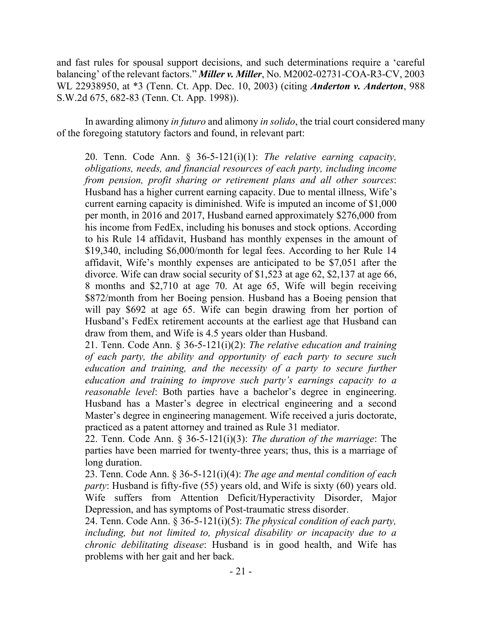and fast rules for spousal support decisions, and such determinations require a 'careful balancing' of the relevant factors." *Miller v. Miller*, No. M2002-02731-COA-R3-CV, 2003 WL 22938950, at \*3 (Tenn. Ct. App. Dec. 10, 2003) (citing *Anderton v. Anderton*, 988 S.W.2d 675, 682-83 (Tenn. Ct. App. 1998)).

In awarding alimony *in futuro* and alimony *in solido*, the trial court considered many of the foregoing statutory factors and found, in relevant part:

20. Tenn. Code Ann. § 36-5-121(i)(1): *The relative earning capacity, obligations, needs, and financial resources of each party, including income from pension, profit sharing or retirement plans and all other sources*: Husband has a higher current earning capacity. Due to mental illness, Wife's current earning capacity is diminished. Wife is imputed an income of \$1,000 per month, in 2016 and 2017, Husband earned approximately \$276,000 from his income from FedEx, including his bonuses and stock options. According to his Rule 14 affidavit, Husband has monthly expenses in the amount of \$19,340, including \$6,000/month for legal fees. According to her Rule 14 affidavit, Wife's monthly expenses are anticipated to be \$7,051 after the divorce. Wife can draw social security of \$1,523 at age 62, \$2,137 at age 66, 8 months and \$2,710 at age 70. At age 65, Wife will begin receiving \$872/month from her Boeing pension. Husband has a Boeing pension that will pay \$692 at age 65. Wife can begin drawing from her portion of Husband's FedEx retirement accounts at the earliest age that Husband can draw from them, and Wife is 4.5 years older than Husband.

21. Tenn. Code Ann. § 36-5-121(i)(2): *The relative education and training of each party, the ability and opportunity of each party to secure such education and training, and the necessity of a party to secure further education and training to improve such party's earnings capacity to a reasonable level*: Both parties have a bachelor's degree in engineering. Husband has a Master's degree in electrical engineering and a second Master's degree in engineering management. Wife received a juris doctorate, practiced as a patent attorney and trained as Rule 31 mediator.

22. Tenn. Code Ann. § 36-5-121(i)(3): *The duration of the marriage*: The parties have been married for twenty-three years; thus, this is a marriage of long duration.

23. Tenn. Code Ann. § 36-5-121(i)(4): *The age and mental condition of each party*: Husband is fifty-five (55) years old, and Wife is sixty (60) years old. Wife suffers from Attention Deficit/Hyperactivity Disorder, Major Depression, and has symptoms of Post-traumatic stress disorder.

24. Tenn. Code Ann. § 36-5-121(i)(5): *The physical condition of each party, including, but not limited to, physical disability or incapacity due to a chronic debilitating disease*: Husband is in good health, and Wife has problems with her gait and her back.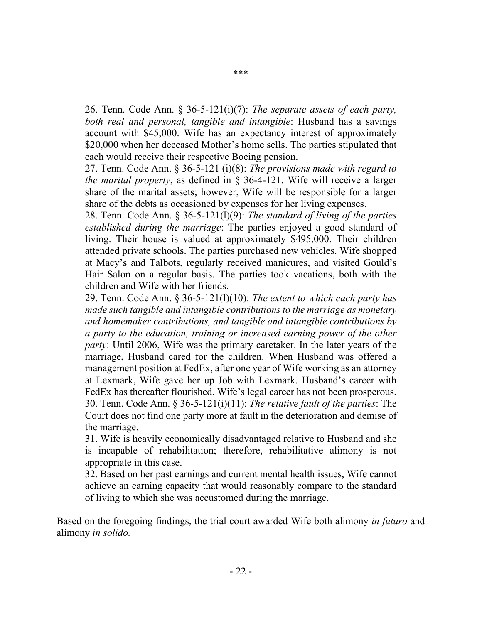26. Tenn. Code Ann. § 36-5-121(i)(7): *The separate assets of each party, both real and personal, tangible and intangible*: Husband has a savings account with \$45,000. Wife has an expectancy interest of approximately \$20,000 when her deceased Mother's home sells. The parties stipulated that each would receive their respective Boeing pension.

27. Tenn. Code Ann. § 36-5-121 (i)(8): *The provisions made with regard to the marital property*, as defined in § 36-4-121. Wife will receive a larger share of the marital assets; however, Wife will be responsible for a larger share of the debts as occasioned by expenses for her living expenses.

28. Tenn. Code Ann. § 36-5-121(l)(9): *The standard of living of the parties established during the marriage*: The parties enjoyed a good standard of living. Their house is valued at approximately \$495,000. Their children attended private schools. The parties purchased new vehicles. Wife shopped at Macy's and Talbots, regularly received manicures, and visited Gould's Hair Salon on a regular basis. The parties took vacations, both with the children and Wife with her friends.

29. Tenn. Code Ann. § 36-5-121(l)(10): *The extent to which each party has made such tangible and intangible contributions to the marriage as monetary and homemaker contributions, and tangible and intangible contributions by a party to the education, training or increased earning power of the other party*: Until 2006, Wife was the primary caretaker. In the later years of the marriage, Husband cared for the children. When Husband was offered a management position at FedEx, after one year of Wife working as an attorney at Lexmark, Wife gave her up Job with Lexmark. Husband's career with FedEx has thereafter flourished. Wife's legal career has not been prosperous. 30. Tenn. Code Ann. § 36-5-121(i)(11): *The relative fault of the parties*: The Court does not find one party more at fault in the deterioration and demise of the marriage.

31. Wife is heavily economically disadvantaged relative to Husband and she is incapable of rehabilitation; therefore, rehabilitative alimony is not appropriate in this case.

32. Based on her past earnings and current mental health issues, Wife cannot achieve an earning capacity that would reasonably compare to the standard of living to which she was accustomed during the marriage.

Based on the foregoing findings, the trial court awarded Wife both alimony *in futuro* and alimony *in solido.*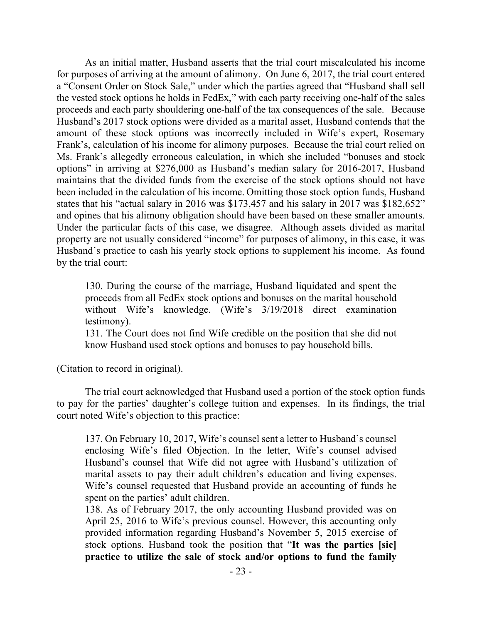As an initial matter, Husband asserts that the trial court miscalculated his income for purposes of arriving at the amount of alimony. On June 6, 2017, the trial court entered a "Consent Order on Stock Sale," under which the parties agreed that "Husband shall sell the vested stock options he holds in FedEx," with each party receiving one-half of the sales proceeds and each party shouldering one-half of the tax consequences of the sale. Because Husband's 2017 stock options were divided as a marital asset, Husband contends that the amount of these stock options was incorrectly included in Wife's expert, Rosemary Frank's, calculation of his income for alimony purposes. Because the trial court relied on Ms. Frank's allegedly erroneous calculation, in which she included "bonuses and stock options" in arriving at \$276,000 as Husband's median salary for 2016-2017, Husband maintains that the divided funds from the exercise of the stock options should not have been included in the calculation of his income. Omitting those stock option funds, Husband states that his "actual salary in 2016 was \$173,457 and his salary in 2017 was \$182,652" and opines that his alimony obligation should have been based on these smaller amounts. Under the particular facts of this case, we disagree. Although assets divided as marital property are not usually considered "income" for purposes of alimony, in this case, it was Husband's practice to cash his yearly stock options to supplement his income. As found by the trial court:

130. During the course of the marriage, Husband liquidated and spent the proceeds from all FedEx stock options and bonuses on the marital household without Wife's knowledge. (Wife's 3/19/2018 direct examination testimony).

131. The Court does not find Wife credible on the position that she did not know Husband used stock options and bonuses to pay household bills.

(Citation to record in original).

The trial court acknowledged that Husband used a portion of the stock option funds to pay for the parties' daughter's college tuition and expenses. In its findings, the trial court noted Wife's objection to this practice:

137. On February 10, 2017, Wife's counsel sent a letter to Husband's counsel enclosing Wife's filed Objection. In the letter, Wife's counsel advised Husband's counsel that Wife did not agree with Husband's utilization of marital assets to pay their adult children's education and living expenses. Wife's counsel requested that Husband provide an accounting of funds he spent on the parties' adult children.

138. As of February 2017, the only accounting Husband provided was on April 25, 2016 to Wife's previous counsel. However, this accounting only provided information regarding Husband's November 5, 2015 exercise of stock options. Husband took the position that "**It was the parties [sic] practice to utilize the sale of stock and/or options to fund the family**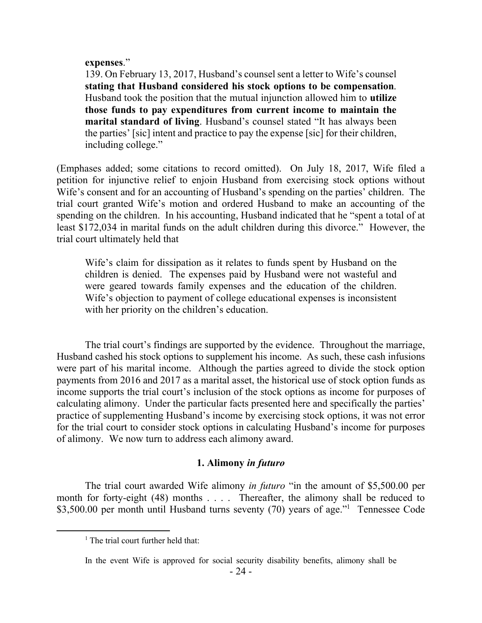#### **expenses**."

139. On February 13, 2017, Husband's counsel sent a letter to Wife's counsel **stating that Husband considered his stock options to be compensation**. Husband took the position that the mutual injunction allowed him to **utilize those funds to pay expenditures from current income to maintain the marital standard of living**. Husband's counsel stated "It has always been the parties' [sic] intent and practice to pay the expense [sic] for their children, including college."

(Emphases added; some citations to record omitted). On July 18, 2017, Wife filed a petition for injunctive relief to enjoin Husband from exercising stock options without Wife's consent and for an accounting of Husband's spending on the parties' children. The trial court granted Wife's motion and ordered Husband to make an accounting of the spending on the children. In his accounting, Husband indicated that he "spent a total of at least \$172,034 in marital funds on the adult children during this divorce." However, the trial court ultimately held that

Wife's claim for dissipation as it relates to funds spent by Husband on the children is denied. The expenses paid by Husband were not wasteful and were geared towards family expenses and the education of the children. Wife's objection to payment of college educational expenses is inconsistent with her priority on the children's education.

The trial court's findings are supported by the evidence. Throughout the marriage, Husband cashed his stock options to supplement his income. As such, these cash infusions were part of his marital income. Although the parties agreed to divide the stock option payments from 2016 and 2017 as a marital asset, the historical use of stock option funds as income supports the trial court's inclusion of the stock options as income for purposes of calculating alimony. Under the particular facts presented here and specifically the parties' practice of supplementing Husband's income by exercising stock options, it was not error for the trial court to consider stock options in calculating Husband's income for purposes of alimony. We now turn to address each alimony award.

### **1. Alimony** *in futuro*

The trial court awarded Wife alimony *in futuro* "in the amount of \$5,500.00 per month for forty-eight (48) months . . . . Thereafter, the alimony shall be reduced to \$3,500.00 per month until Husband turns seventy (70) years of age."<sup>1</sup> Tennessee Code

 $<sup>1</sup>$  The trial court further held that:</sup>

In the event Wife is approved for social security disability benefits, alimony shall be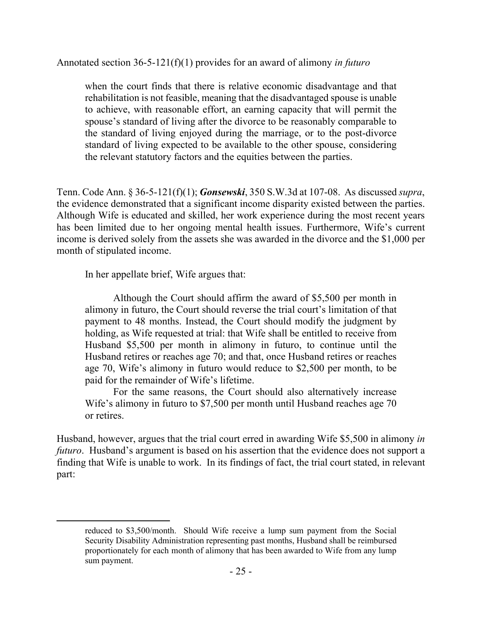Annotated section 36-5-121(f)(1) provides for an award of alimony *in futuro*

when the court finds that there is relative economic disadvantage and that rehabilitation is not feasible, meaning that the disadvantaged spouse is unable to achieve, with reasonable effort, an earning capacity that will permit the spouse's standard of living after the divorce to be reasonably comparable to the standard of living enjoyed during the marriage, or to the post-divorce standard of living expected to be available to the other spouse, considering the relevant statutory factors and the equities between the parties.

Tenn. Code Ann. § 36-5-121(f)(1); *Gonsewski*, 350 S.W.3d at 107-08. As discussed *supra*, the evidence demonstrated that a significant income disparity existed between the parties. Although Wife is educated and skilled, her work experience during the most recent years has been limited due to her ongoing mental health issues. Furthermore, Wife's current income is derived solely from the assets she was awarded in the divorce and the \$1,000 per month of stipulated income.

In her appellate brief, Wife argues that:

Although the Court should affirm the award of \$5,500 per month in alimony in futuro, the Court should reverse the trial court's limitation of that payment to 48 months. Instead, the Court should modify the judgment by holding, as Wife requested at trial: that Wife shall be entitled to receive from Husband \$5,500 per month in alimony in futuro, to continue until the Husband retires or reaches age 70; and that, once Husband retires or reaches age 70, Wife's alimony in futuro would reduce to \$2,500 per month, to be paid for the remainder of Wife's lifetime.

For the same reasons, the Court should also alternatively increase Wife's alimony in futuro to \$7,500 per month until Husband reaches age 70 or retires.

Husband, however, argues that the trial court erred in awarding Wife \$5,500 in alimony *in futuro*. Husband's argument is based on his assertion that the evidence does not support a finding that Wife is unable to work. In its findings of fact, the trial court stated, in relevant part:

reduced to \$3,500/month. Should Wife receive a lump sum payment from the Social Security Disability Administration representing past months, Husband shall be reimbursed proportionately for each month of alimony that has been awarded to Wife from any lump sum payment.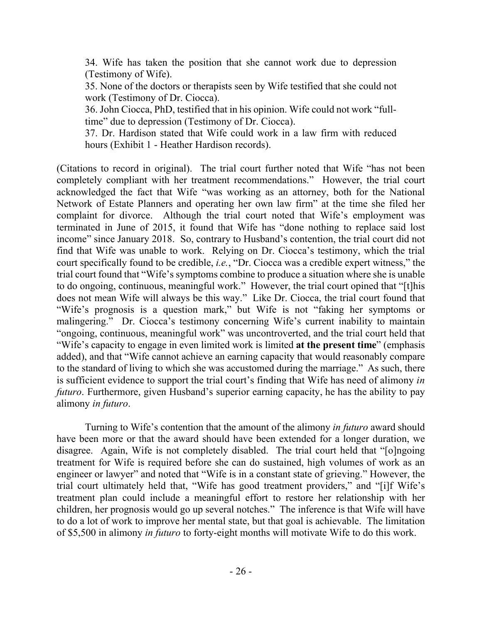34. Wife has taken the position that she cannot work due to depression (Testimony of Wife).

35. None of the doctors or therapists seen by Wife testified that she could not work (Testimony of Dr. Ciocca).

36. John Ciocca, PhD, testified that in his opinion. Wife could not work "fulltime" due to depression (Testimony of Dr. Ciocca).

37. Dr. Hardison stated that Wife could work in a law firm with reduced hours (Exhibit 1 - Heather Hardison records).

(Citations to record in original). The trial court further noted that Wife "has not been completely compliant with her treatment recommendations." However, the trial court acknowledged the fact that Wife "was working as an attorney, both for the National Network of Estate Planners and operating her own law firm" at the time she filed her complaint for divorce. Although the trial court noted that Wife's employment was terminated in June of 2015, it found that Wife has "done nothing to replace said lost income" since January 2018. So, contrary to Husband's contention, the trial court did not find that Wife was unable to work. Relying on Dr. Ciocca's testimony, which the trial court specifically found to be credible, *i.e.*, "Dr. Ciocca was a credible expert witness," the trial court found that "Wife's symptoms combine to produce a situation where she is unable to do ongoing, continuous, meaningful work." However, the trial court opined that "[t]his does not mean Wife will always be this way." Like Dr. Ciocca, the trial court found that "Wife's prognosis is a question mark," but Wife is not "faking her symptoms or malingering." Dr. Ciocca's testimony concerning Wife's current inability to maintain "ongoing, continuous, meaningful work" was uncontroverted, and the trial court held that "Wife's capacity to engage in even limited work is limited **at the present time**" (emphasis added), and that "Wife cannot achieve an earning capacity that would reasonably compare to the standard of living to which she was accustomed during the marriage." As such, there is sufficient evidence to support the trial court's finding that Wife has need of alimony *in futuro*. Furthermore, given Husband's superior earning capacity, he has the ability to pay alimony *in futuro*.

Turning to Wife's contention that the amount of the alimony *in futuro* award should have been more or that the award should have been extended for a longer duration, we disagree. Again, Wife is not completely disabled. The trial court held that "[o]ngoing treatment for Wife is required before she can do sustained, high volumes of work as an engineer or lawyer" and noted that "Wife is in a constant state of grieving." However, the trial court ultimately held that, "Wife has good treatment providers," and "[i]f Wife's treatment plan could include a meaningful effort to restore her relationship with her children, her prognosis would go up several notches." The inference is that Wife will have to do a lot of work to improve her mental state, but that goal is achievable. The limitation of \$5,500 in alimony *in futuro* to forty-eight months will motivate Wife to do this work.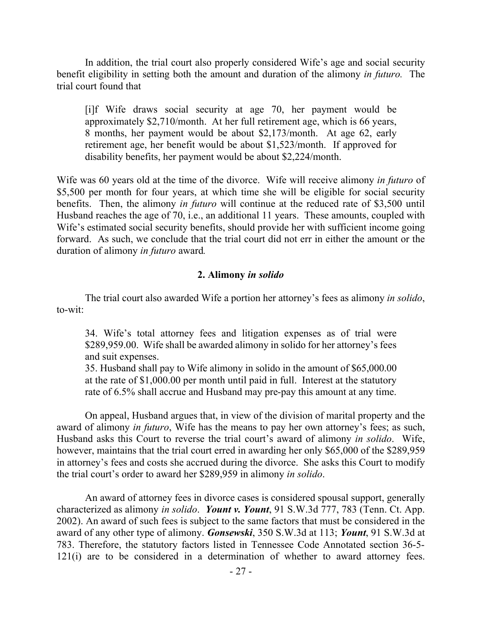In addition, the trial court also properly considered Wife's age and social security benefit eligibility in setting both the amount and duration of the alimony *in futuro.* The trial court found that

[i]f Wife draws social security at age 70, her payment would be approximately \$2,710/month. At her full retirement age, which is 66 years, 8 months, her payment would be about \$2,173/month. At age 62, early retirement age, her benefit would be about \$1,523/month. If approved for disability benefits, her payment would be about \$2,224/month.

Wife was 60 years old at the time of the divorce. Wife will receive alimony *in futuro* of \$5,500 per month for four years, at which time she will be eligible for social security benefits. Then, the alimony *in futuro* will continue at the reduced rate of \$3,500 until Husband reaches the age of 70, i.e., an additional 11 years. These amounts, coupled with Wife's estimated social security benefits, should provide her with sufficient income going forward. As such, we conclude that the trial court did not err in either the amount or the duration of alimony *in futuro* award*.*

#### **2. Alimony** *in solido*

The trial court also awarded Wife a portion her attorney's fees as alimony *in solido*, to-wit:

34. Wife's total attorney fees and litigation expenses as of trial were \$289,959.00. Wife shall be awarded alimony in solido for her attorney's fees and suit expenses.

35. Husband shall pay to Wife alimony in solido in the amount of \$65,000.00 at the rate of \$1,000.00 per month until paid in full. Interest at the statutory rate of 6.5% shall accrue and Husband may pre-pay this amount at any time.

On appeal, Husband argues that, in view of the division of marital property and the award of alimony *in futuro*, Wife has the means to pay her own attorney's fees; as such, Husband asks this Court to reverse the trial court's award of alimony *in solido*. Wife, however, maintains that the trial court erred in awarding her only \$65,000 of the \$289,959 in attorney's fees and costs she accrued during the divorce. She asks this Court to modify the trial court's order to award her \$289,959 in alimony *in solido*.

An award of attorney fees in divorce cases is considered spousal support, generally characterized as alimony *in solido*. *Yount v. Yount*, 91 S.W.3d 777, 783 (Tenn. Ct. App. 2002). An award of such fees is subject to the same factors that must be considered in the award of any other type of alimony. *Gonsewski*, 350 S.W.3d at 113; *Yount*, 91 S.W.3d at 783. Therefore, the statutory factors listed in Tennessee Code Annotated section 36-5- 121(i) are to be considered in a determination of whether to award attorney fees.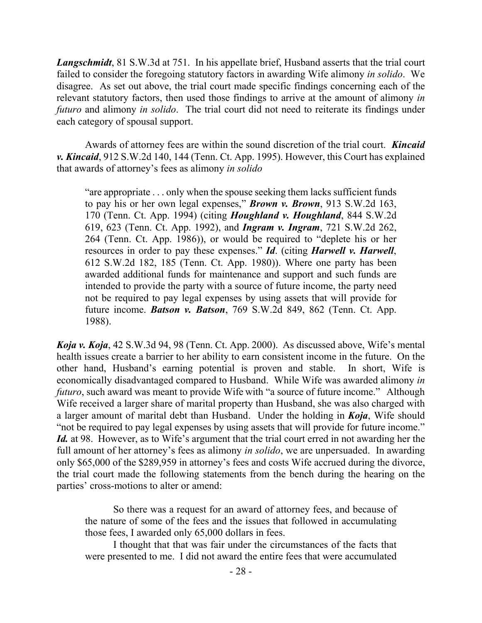*Langschmidt*, 81 S.W.3d at 751. In his appellate brief, Husband asserts that the trial court failed to consider the foregoing statutory factors in awarding Wife alimony *in solido*. We disagree. As set out above, the trial court made specific findings concerning each of the relevant statutory factors, then used those findings to arrive at the amount of alimony *in futuro* and alimony *in solido*. The trial court did not need to reiterate its findings under each category of spousal support.

Awards of attorney fees are within the sound discretion of the trial court. *Kincaid v. Kincaid*, 912 S.W.2d 140, 144 (Tenn. Ct. App. 1995). However, this Court has explained that awards of attorney's fees as alimony *in solido*

"are appropriate . . . only when the spouse seeking them lacks sufficient funds to pay his or her own legal expenses," *Brown v. Brown*, 913 S.W.2d 163, 170 (Tenn. Ct. App. 1994) (citing *Houghland v. Houghland*, 844 S.W.2d 619, 623 (Tenn. Ct. App. 1992), and *Ingram v. Ingram*, 721 S.W.2d 262, 264 (Tenn. Ct. App. 1986)), or would be required to "deplete his or her resources in order to pay these expenses." *Id*. (citing *Harwell v. Harwell*, 612 S.W.2d 182, 185 (Tenn. Ct. App. 1980)). Where one party has been awarded additional funds for maintenance and support and such funds are intended to provide the party with a source of future income, the party need not be required to pay legal expenses by using assets that will provide for future income. *Batson v. Batson*, 769 S.W.2d 849, 862 (Tenn. Ct. App. 1988).

*Koja v. Koja*, 42 S.W.3d 94, 98 (Tenn. Ct. App. 2000). As discussed above, Wife's mental health issues create a barrier to her ability to earn consistent income in the future. On the other hand, Husband's earning potential is proven and stable. In short, Wife is economically disadvantaged compared to Husband. While Wife was awarded alimony *in futuro*, such award was meant to provide Wife with "a source of future income." Although Wife received a larger share of marital property than Husband, she was also charged with a larger amount of marital debt than Husband. Under the holding in *Koja*, Wife should "not be required to pay legal expenses by using assets that will provide for future income." *Id.* at 98. However, as to Wife's argument that the trial court erred in not awarding her the full amount of her attorney's fees as alimony *in solido*, we are unpersuaded. In awarding only \$65,000 of the \$289,959 in attorney's fees and costs Wife accrued during the divorce, the trial court made the following statements from the bench during the hearing on the parties' cross-motions to alter or amend:

So there was a request for an award of attorney fees, and because of the nature of some of the fees and the issues that followed in accumulating those fees, I awarded only 65,000 dollars in fees.

I thought that that was fair under the circumstances of the facts that were presented to me. I did not award the entire fees that were accumulated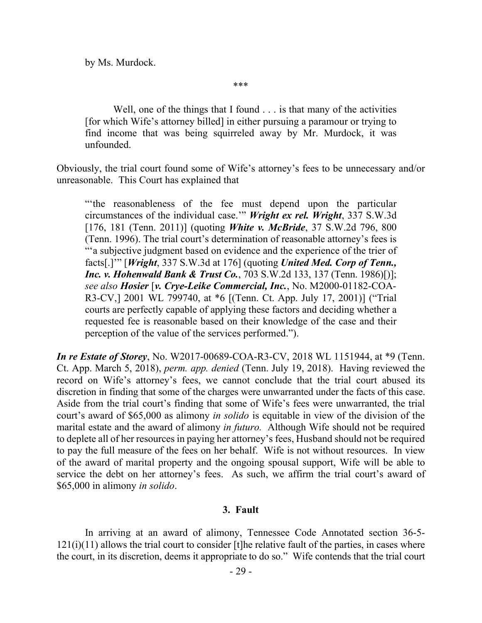by Ms. Murdock.

\*\*\*

Well, one of the things that I found . . . is that many of the activities [for which Wife's attorney billed] in either pursuing a paramour or trying to find income that was being squirreled away by Mr. Murdock, it was unfounded.

Obviously, the trial court found some of Wife's attorney's fees to be unnecessary and/or unreasonable. This Court has explained that

"'the reasonableness of the fee must depend upon the particular circumstances of the individual case.'" *Wright ex rel. Wright*, 337 S.W.3d [176, 181 (Tenn. 2011)] (quoting *White v. McBride*, 37 S.W.2d 796, 800 (Tenn. 1996). The trial court's determination of reasonable attorney's fees is "'a subjective judgment based on evidence and the experience of the trier of facts[.]'" [*Wright*, 337 S.W.3d at 176] (quoting *United Med. Corp of Tenn., Inc. v. Hohenwald Bank & Trust Co.*, 703 S.W.2d 133, 137 (Tenn. 1986)[)]; *see also Hosier* [*v. Crye-Leike Commercial, Inc.*, No. M2000-01182-COA-R3-CV,] 2001 WL 799740, at \*6 [(Tenn. Ct. App. July 17, 2001)] ("Trial courts are perfectly capable of applying these factors and deciding whether a requested fee is reasonable based on their knowledge of the case and their perception of the value of the services performed.").

*In re Estate of Storey*, No. W2017-00689-COA-R3-CV, 2018 WL 1151944, at \*9 (Tenn. Ct. App. March 5, 2018), *perm. app. denied* (Tenn. July 19, 2018). Having reviewed the record on Wife's attorney's fees, we cannot conclude that the trial court abused its discretion in finding that some of the charges were unwarranted under the facts of this case. Aside from the trial court's finding that some of Wife's fees were unwarranted, the trial court's award of \$65,000 as alimony *in solido* is equitable in view of the division of the marital estate and the award of alimony *in futuro.* Although Wife should not be required to deplete all of her resources in paying her attorney's fees, Husband should not be required to pay the full measure of the fees on her behalf. Wife is not without resources. In view of the award of marital property and the ongoing spousal support, Wife will be able to service the debt on her attorney's fees. As such, we affirm the trial court's award of \$65,000 in alimony *in solido*.

### **3. Fault**

In arriving at an award of alimony, Tennessee Code Annotated section 36-5-  $121(i)(11)$  allows the trial court to consider [t]he relative fault of the parties, in cases where the court, in its discretion, deems it appropriate to do so." Wife contends that the trial court